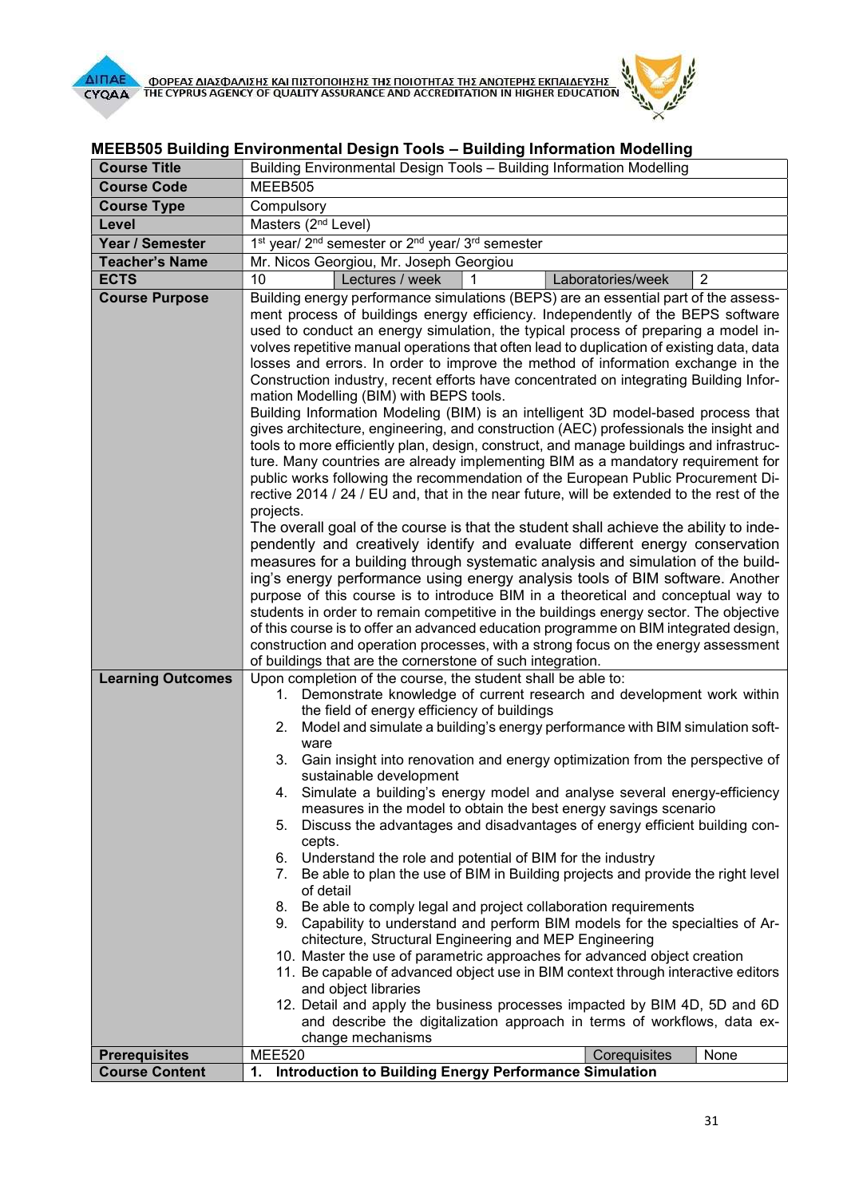

| <b>Course Title</b>      | Building Environmental Design Tools - Building Information Modelling                                                                                                                                                                                                                                                                                                                                                                                                                                                                                                                                                                                                                                                                                                                                                                                                                                                                                                                                                                                                                                                                                                                                                                                                                                                                                                                                             |  |  |
|--------------------------|------------------------------------------------------------------------------------------------------------------------------------------------------------------------------------------------------------------------------------------------------------------------------------------------------------------------------------------------------------------------------------------------------------------------------------------------------------------------------------------------------------------------------------------------------------------------------------------------------------------------------------------------------------------------------------------------------------------------------------------------------------------------------------------------------------------------------------------------------------------------------------------------------------------------------------------------------------------------------------------------------------------------------------------------------------------------------------------------------------------------------------------------------------------------------------------------------------------------------------------------------------------------------------------------------------------------------------------------------------------------------------------------------------------|--|--|
| <b>Course Code</b>       | MEEB505                                                                                                                                                                                                                                                                                                                                                                                                                                                                                                                                                                                                                                                                                                                                                                                                                                                                                                                                                                                                                                                                                                                                                                                                                                                                                                                                                                                                          |  |  |
| <b>Course Type</b>       | Compulsory                                                                                                                                                                                                                                                                                                                                                                                                                                                                                                                                                                                                                                                                                                                                                                                                                                                                                                                                                                                                                                                                                                                                                                                                                                                                                                                                                                                                       |  |  |
| Level                    | Masters (2 <sup>nd</sup> Level)                                                                                                                                                                                                                                                                                                                                                                                                                                                                                                                                                                                                                                                                                                                                                                                                                                                                                                                                                                                                                                                                                                                                                                                                                                                                                                                                                                                  |  |  |
| Year / Semester          | 1 <sup>st</sup> year/ 2 <sup>nd</sup> semester or 2 <sup>nd</sup> year/ 3 <sup>rd</sup> semester                                                                                                                                                                                                                                                                                                                                                                                                                                                                                                                                                                                                                                                                                                                                                                                                                                                                                                                                                                                                                                                                                                                                                                                                                                                                                                                 |  |  |
| <b>Teacher's Name</b>    | Mr. Nicos Georgiou, Mr. Joseph Georgiou                                                                                                                                                                                                                                                                                                                                                                                                                                                                                                                                                                                                                                                                                                                                                                                                                                                                                                                                                                                                                                                                                                                                                                                                                                                                                                                                                                          |  |  |
| <b>ECTS</b>              | Lectures / week<br>10<br>Laboratories/week<br>$\overline{2}$                                                                                                                                                                                                                                                                                                                                                                                                                                                                                                                                                                                                                                                                                                                                                                                                                                                                                                                                                                                                                                                                                                                                                                                                                                                                                                                                                     |  |  |
| <b>Course Purpose</b>    | Building energy performance simulations (BEPS) are an essential part of the assess-<br>ment process of buildings energy efficiency. Independently of the BEPS software<br>used to conduct an energy simulation, the typical process of preparing a model in-<br>volves repetitive manual operations that often lead to duplication of existing data, data<br>losses and errors. In order to improve the method of information exchange in the<br>Construction industry, recent efforts have concentrated on integrating Building Infor-<br>mation Modelling (BIM) with BEPS tools.<br>Building Information Modeling (BIM) is an intelligent 3D model-based process that<br>gives architecture, engineering, and construction (AEC) professionals the insight and<br>tools to more efficiently plan, design, construct, and manage buildings and infrastruc-<br>ture. Many countries are already implementing BIM as a mandatory requirement for<br>public works following the recommendation of the European Public Procurement Di-<br>rective 2014 / 24 / EU and, that in the near future, will be extended to the rest of the<br>projects.<br>The overall goal of the course is that the student shall achieve the ability to inde-<br>pendently and creatively identify and evaluate different energy conservation                                                                                            |  |  |
|                          | measures for a building through systematic analysis and simulation of the build-<br>ing's energy performance using energy analysis tools of BIM software. Another<br>purpose of this course is to introduce BIM in a theoretical and conceptual way to<br>students in order to remain competitive in the buildings energy sector. The objective<br>of this course is to offer an advanced education programme on BIM integrated design,<br>construction and operation processes, with a strong focus on the energy assessment<br>of buildings that are the cornerstone of such integration.                                                                                                                                                                                                                                                                                                                                                                                                                                                                                                                                                                                                                                                                                                                                                                                                                      |  |  |
| <b>Learning Outcomes</b> | Upon completion of the course, the student shall be able to:<br>1. Demonstrate knowledge of current research and development work within<br>the field of energy efficiency of buildings<br>Model and simulate a building's energy performance with BIM simulation soft-<br>2.<br>ware<br>Gain insight into renovation and energy optimization from the perspective of<br>3.<br>sustainable development<br>4. Simulate a building's energy model and analyse several energy-efficiency<br>measures in the model to obtain the best energy savings scenario<br>Discuss the advantages and disadvantages of energy efficient building con-<br>5.<br>cepts.<br>6. Understand the role and potential of BIM for the industry<br>7. Be able to plan the use of BIM in Building projects and provide the right level<br>of detail<br>8. Be able to comply legal and project collaboration requirements<br>9. Capability to understand and perform BIM models for the specialties of Ar-<br>chitecture, Structural Engineering and MEP Engineering<br>10. Master the use of parametric approaches for advanced object creation<br>11. Be capable of advanced object use in BIM context through interactive editors<br>and object libraries<br>12. Detail and apply the business processes impacted by BIM 4D, 5D and 6D<br>and describe the digitalization approach in terms of workflows, data ex-<br>change mechanisms |  |  |
| <b>Prerequisites</b>     | Corequisites<br><b>MEE520</b><br>None                                                                                                                                                                                                                                                                                                                                                                                                                                                                                                                                                                                                                                                                                                                                                                                                                                                                                                                                                                                                                                                                                                                                                                                                                                                                                                                                                                            |  |  |
| <b>Course Content</b>    | <b>Introduction to Building Energy Performance Simulation</b><br>1.                                                                                                                                                                                                                                                                                                                                                                                                                                                                                                                                                                                                                                                                                                                                                                                                                                                                                                                                                                                                                                                                                                                                                                                                                                                                                                                                              |  |  |

## MEEB505 Building Environmental Design Tools – Building Information Modelling

**Registrial**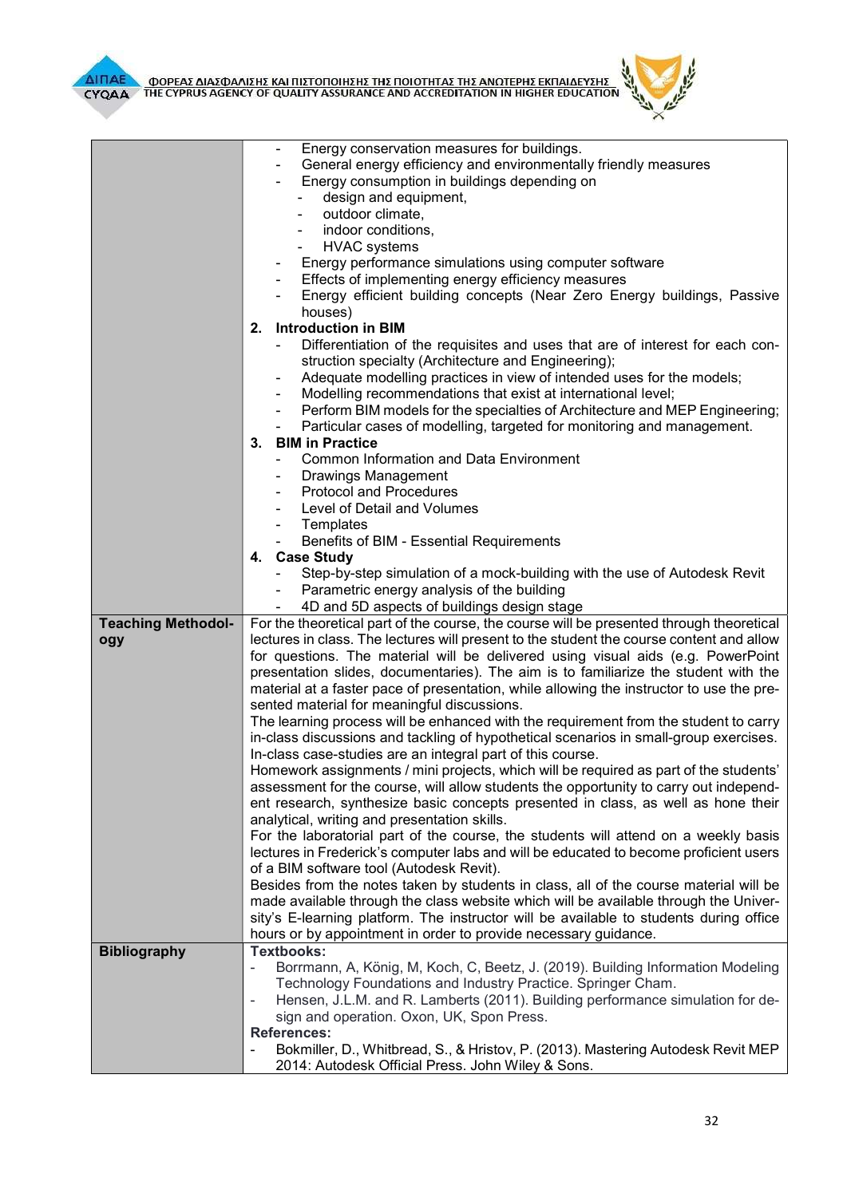



|                                  | Energy conservation measures for buildings.<br>General energy efficiency and environmentally friendly measures<br>Energy consumption in buildings depending on<br>design and equipment,<br>outdoor climate,<br>indoor conditions,<br><b>HVAC</b> systems<br>Energy performance simulations using computer software<br>Effects of implementing energy efficiency measures<br>Energy efficient building concepts (Near Zero Energy buildings, Passive<br>houses)                                                                                                                                                                                                                                                                                                                                                                                                                                                                                                                                                                                                                                                                                                                                                                                                                                                                                                                                                                                                                                                                                                                          |  |
|----------------------------------|-----------------------------------------------------------------------------------------------------------------------------------------------------------------------------------------------------------------------------------------------------------------------------------------------------------------------------------------------------------------------------------------------------------------------------------------------------------------------------------------------------------------------------------------------------------------------------------------------------------------------------------------------------------------------------------------------------------------------------------------------------------------------------------------------------------------------------------------------------------------------------------------------------------------------------------------------------------------------------------------------------------------------------------------------------------------------------------------------------------------------------------------------------------------------------------------------------------------------------------------------------------------------------------------------------------------------------------------------------------------------------------------------------------------------------------------------------------------------------------------------------------------------------------------------------------------------------------------|--|
|                                  | <b>Introduction in BIM</b><br>2.                                                                                                                                                                                                                                                                                                                                                                                                                                                                                                                                                                                                                                                                                                                                                                                                                                                                                                                                                                                                                                                                                                                                                                                                                                                                                                                                                                                                                                                                                                                                                        |  |
|                                  | Differentiation of the requisites and uses that are of interest for each con-<br>struction specialty (Architecture and Engineering);<br>Adequate modelling practices in view of intended uses for the models;<br>Modelling recommendations that exist at international level;<br>$\overline{\phantom{a}}$<br>Perform BIM models for the specialties of Architecture and MEP Engineering;<br>$\blacksquare$<br>Particular cases of modelling, targeted for monitoring and management.<br>$\blacksquare$<br>3. BIM in Practice                                                                                                                                                                                                                                                                                                                                                                                                                                                                                                                                                                                                                                                                                                                                                                                                                                                                                                                                                                                                                                                            |  |
|                                  |                                                                                                                                                                                                                                                                                                                                                                                                                                                                                                                                                                                                                                                                                                                                                                                                                                                                                                                                                                                                                                                                                                                                                                                                                                                                                                                                                                                                                                                                                                                                                                                         |  |
|                                  | <b>Common Information and Data Environment</b>                                                                                                                                                                                                                                                                                                                                                                                                                                                                                                                                                                                                                                                                                                                                                                                                                                                                                                                                                                                                                                                                                                                                                                                                                                                                                                                                                                                                                                                                                                                                          |  |
|                                  | Drawings Management<br><b>Protocol and Procedures</b>                                                                                                                                                                                                                                                                                                                                                                                                                                                                                                                                                                                                                                                                                                                                                                                                                                                                                                                                                                                                                                                                                                                                                                                                                                                                                                                                                                                                                                                                                                                                   |  |
|                                  | Level of Detail and Volumes                                                                                                                                                                                                                                                                                                                                                                                                                                                                                                                                                                                                                                                                                                                                                                                                                                                                                                                                                                                                                                                                                                                                                                                                                                                                                                                                                                                                                                                                                                                                                             |  |
|                                  | Templates                                                                                                                                                                                                                                                                                                                                                                                                                                                                                                                                                                                                                                                                                                                                                                                                                                                                                                                                                                                                                                                                                                                                                                                                                                                                                                                                                                                                                                                                                                                                                                               |  |
|                                  | $\blacksquare$                                                                                                                                                                                                                                                                                                                                                                                                                                                                                                                                                                                                                                                                                                                                                                                                                                                                                                                                                                                                                                                                                                                                                                                                                                                                                                                                                                                                                                                                                                                                                                          |  |
|                                  | Benefits of BIM - Essential Requirements                                                                                                                                                                                                                                                                                                                                                                                                                                                                                                                                                                                                                                                                                                                                                                                                                                                                                                                                                                                                                                                                                                                                                                                                                                                                                                                                                                                                                                                                                                                                                |  |
|                                  | 4. Case Study                                                                                                                                                                                                                                                                                                                                                                                                                                                                                                                                                                                                                                                                                                                                                                                                                                                                                                                                                                                                                                                                                                                                                                                                                                                                                                                                                                                                                                                                                                                                                                           |  |
|                                  | Step-by-step simulation of a mock-building with the use of Autodesk Revit                                                                                                                                                                                                                                                                                                                                                                                                                                                                                                                                                                                                                                                                                                                                                                                                                                                                                                                                                                                                                                                                                                                                                                                                                                                                                                                                                                                                                                                                                                               |  |
|                                  | Parametric energy analysis of the building                                                                                                                                                                                                                                                                                                                                                                                                                                                                                                                                                                                                                                                                                                                                                                                                                                                                                                                                                                                                                                                                                                                                                                                                                                                                                                                                                                                                                                                                                                                                              |  |
|                                  | 4D and 5D aspects of buildings design stage<br>$\overline{\phantom{0}}$                                                                                                                                                                                                                                                                                                                                                                                                                                                                                                                                                                                                                                                                                                                                                                                                                                                                                                                                                                                                                                                                                                                                                                                                                                                                                                                                                                                                                                                                                                                 |  |
| <b>Teaching Methodol-</b><br>ogy | For the theoretical part of the course, the course will be presented through theoretical<br>lectures in class. The lectures will present to the student the course content and allow<br>for questions. The material will be delivered using visual aids (e.g. PowerPoint<br>presentation slides, documentaries). The aim is to familiarize the student with the<br>material at a faster pace of presentation, while allowing the instructor to use the pre-<br>sented material for meaningful discussions.<br>The learning process will be enhanced with the requirement from the student to carry<br>in-class discussions and tackling of hypothetical scenarios in small-group exercises.<br>In-class case-studies are an integral part of this course.<br>Homework assignments / mini projects, which will be required as part of the students'<br>assessment for the course, will allow students the opportunity to carry out independ-<br>ent research, synthesize basic concepts presented in class, as well as hone their<br>analytical, writing and presentation skills.<br>For the laboratorial part of the course, the students will attend on a weekly basis<br>lectures in Frederick's computer labs and will be educated to become proficient users<br>of a BIM software tool (Autodesk Revit).<br>Besides from the notes taken by students in class, all of the course material will be<br>made available through the class website which will be available through the Univer-<br>sity's E-learning platform. The instructor will be available to students during office |  |
|                                  | hours or by appointment in order to provide necessary guidance.                                                                                                                                                                                                                                                                                                                                                                                                                                                                                                                                                                                                                                                                                                                                                                                                                                                                                                                                                                                                                                                                                                                                                                                                                                                                                                                                                                                                                                                                                                                         |  |
| <b>Bibliography</b>              | <b>Textbooks:</b><br>Borrmann, A, König, M, Koch, C, Beetz, J. (2019). Building Information Modeling<br>Technology Foundations and Industry Practice. Springer Cham.<br>Hensen, J.L.M. and R. Lamberts (2011). Building performance simulation for de-<br>$\overline{\phantom{a}}$<br>sign and operation. Oxon, UK, Spon Press.<br><b>References:</b><br>Bokmiller, D., Whitbread, S., & Hristov, P. (2013). Mastering Autodesk Revit MEP<br>$\overline{\phantom{a}}$                                                                                                                                                                                                                                                                                                                                                                                                                                                                                                                                                                                                                                                                                                                                                                                                                                                                                                                                                                                                                                                                                                                   |  |
|                                  | 2014: Autodesk Official Press. John Wiley & Sons.                                                                                                                                                                                                                                                                                                                                                                                                                                                                                                                                                                                                                                                                                                                                                                                                                                                                                                                                                                                                                                                                                                                                                                                                                                                                                                                                                                                                                                                                                                                                       |  |